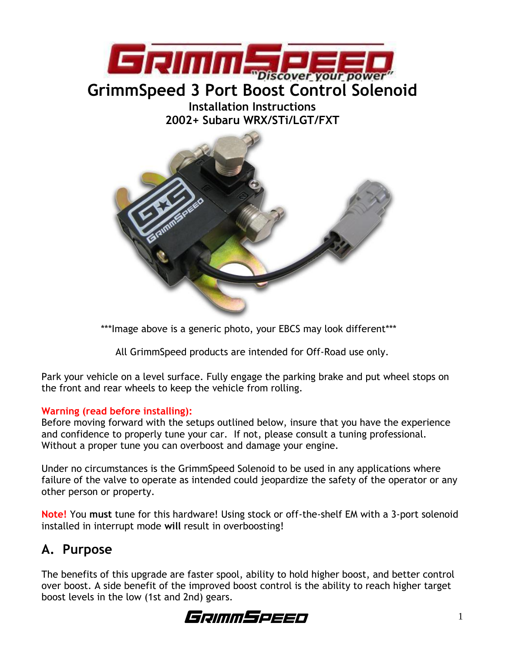

# **Installation Instructions**

**2002+ Subaru WRX/STi/LGT/FXT**



\*\*\*Image above is a generic photo, your EBCS may look different\*\*\*

All GrimmSpeed products are intended for Off-Road use only.

Park your vehicle on a level surface. Fully engage the parking brake and put wheel stops on the front and rear wheels to keep the vehicle from rolling.

#### **Warning (read before installing):**

Before moving forward with the setups outlined below, insure that you have the experience and confidence to properly tune your car. If not, please consult a tuning professional. Without a proper tune you can overboost and damage your engine.

Under no circumstances is the GrimmSpeed Solenoid to be used in any applications where failure of the valve to operate as intended could jeopardize the safety of the operator or any other person or property.

**Note!** You **must** tune for this hardware! Using stock or off-the-shelf EM with a 3-port solenoid installed in interrupt mode **will** result in overboosting!

# **A. Purpose**

The benefits of this upgrade are faster spool, ability to hold higher boost, and better control over boost. A side benefit of the improved boost control is the ability to reach higher target boost levels in the low (1st and 2nd) gears.

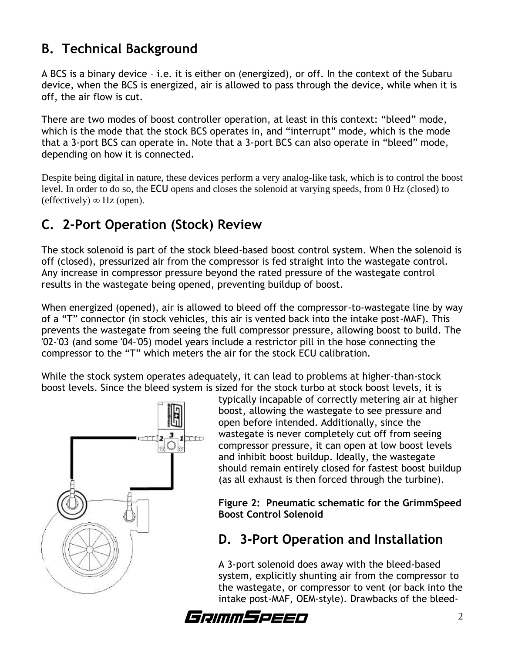### **B. Technical Background**

A BCS is a binary device – i.e. it is either on (energized), or off. In the context of the Subaru device, when the BCS is energized, air is allowed to pass through the device, while when it is off, the air flow is cut.

There are two modes of boost controller operation, at least in this context: "bleed" mode, which is the mode that the stock BCS operates in, and "interrupt" mode, which is the mode that a 3-port BCS can operate in. Note that a 3-port BCS can also operate in "bleed" mode, depending on how it is connected.

Despite being digital in nature, these devices perform a very analog-like task, which is to control the boost level. In order to do so, the ECU opens and closes the solenoid at varying speeds, from 0 Hz (closed) to  $(effectively) \infty$  Hz (open).

# **C. 2-Port Operation (Stock) Review**

The stock solenoid is part of the stock bleed-based boost control system. When the solenoid is off (closed), pressurized air from the compressor is fed straight into the wastegate control. Any increase in compressor pressure beyond the rated pressure of the wastegate control results in the wastegate being opened, preventing buildup of boost.

When energized (opened), air is allowed to bleed off the compressor-to-wastegate line by way of a "T" connector (in stock vehicles, this air is vented back into the intake post-MAF). This prevents the wastegate from seeing the full compressor pressure, allowing boost to build. The '02-'03 (and some '04-'05) model years include a restrictor pill in the hose connecting the compressor to the "T" which meters the air for the stock ECU calibration.

While the stock system operates adequately, it can lead to problems at higher-than-stock boost levels. Since the bleed system is sized for the stock turbo at stock boost levels, it is



typically incapable of correctly metering air at higher boost, allowing the wastegate to see pressure and open before intended. Additionally, since the wastegate is never completely cut off from seeing compressor pressure, it can open at low boost levels and inhibit boost buildup. Ideally, the wastegate should remain entirely closed for fastest boost buildup (as all exhaust is then forced through the turbine).

**Figure 2: Pneumatic schematic for the GrimmSpeed Boost Control Solenoid**

### **D. 3-Port Operation and Installation**

A 3-port solenoid does away with the bleed-based system, explicitly shunting air from the compressor to the wastegate, or compressor to vent (or back into the intake post-MAF, OEM-style). Drawbacks of the bleed-

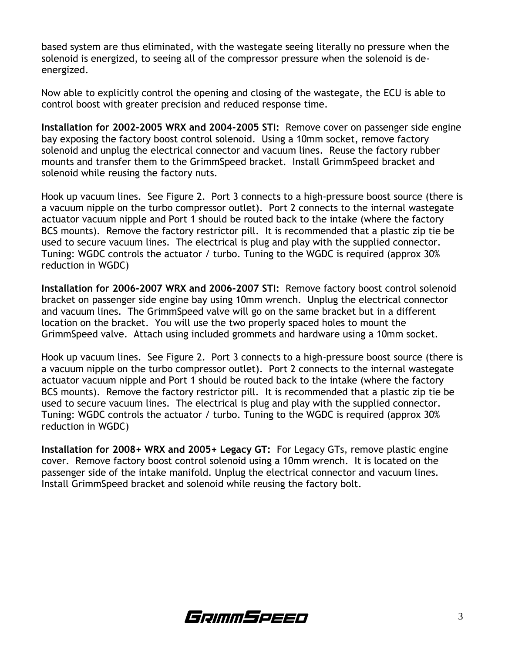based system are thus eliminated, with the wastegate seeing literally no pressure when the solenoid is energized, to seeing all of the compressor pressure when the solenoid is deenergized.

Now able to explicitly control the opening and closing of the wastegate, the ECU is able to control boost with greater precision and reduced response time.

**Installation for 2002-2005 WRX and 2004-2005 STI:** Remove cover on passenger side engine bay exposing the factory boost control solenoid. Using a 10mm socket, remove factory solenoid and unplug the electrical connector and vacuum lines. Reuse the factory rubber mounts and transfer them to the GrimmSpeed bracket. Install GrimmSpeed bracket and solenoid while reusing the factory nuts.

Hook up vacuum lines. See Figure 2. Port 3 connects to a high-pressure boost source (there is a vacuum nipple on the turbo compressor outlet). Port 2 connects to the internal wastegate actuator vacuum nipple and Port 1 should be routed back to the intake (where the factory BCS mounts). Remove the factory restrictor pill. It is recommended that a plastic zip tie be used to secure vacuum lines. The electrical is plug and play with the supplied connector. Tuning: WGDC controls the actuator / turbo. Tuning to the WGDC is required (approx 30% reduction in WGDC)

**Installation for 2006-2007 WRX and 2006-2007 STI:** Remove factory boost control solenoid bracket on passenger side engine bay using 10mm wrench. Unplug the electrical connector and vacuum lines. The GrimmSpeed valve will go on the same bracket but in a different location on the bracket. You will use the two properly spaced holes to mount the GrimmSpeed valve. Attach using included grommets and hardware using a 10mm socket.

Hook up vacuum lines. See Figure 2. Port 3 connects to a high-pressure boost source (there is a vacuum nipple on the turbo compressor outlet). Port 2 connects to the internal wastegate actuator vacuum nipple and Port 1 should be routed back to the intake (where the factory BCS mounts). Remove the factory restrictor pill. It is recommended that a plastic zip tie be used to secure vacuum lines. The electrical is plug and play with the supplied connector. Tuning: WGDC controls the actuator / turbo. Tuning to the WGDC is required (approx 30% reduction in WGDC)

**Installation for 2008+ WRX and 2005+ Legacy GT:** For Legacy GTs, remove plastic engine cover. Remove factory boost control solenoid using a 10mm wrench. It is located on the passenger side of the intake manifold. Unplug the electrical connector and vacuum lines. Install GrimmSpeed bracket and solenoid while reusing the factory bolt.

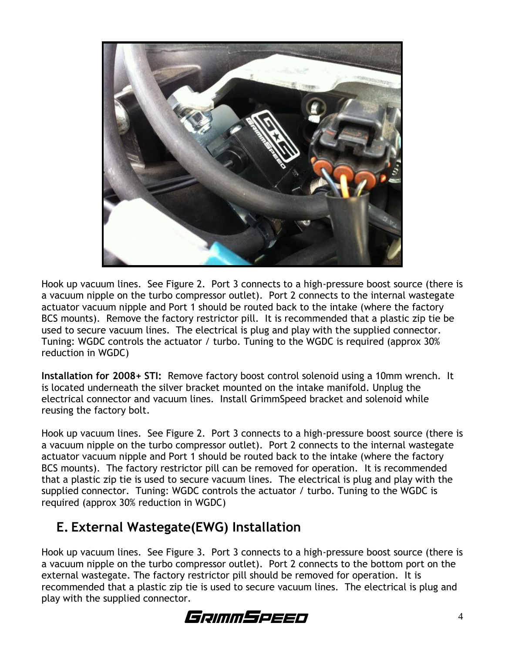

Hook up vacuum lines. See Figure 2. Port 3 connects to a high-pressure boost source (there is a vacuum nipple on the turbo compressor outlet). Port 2 connects to the internal wastegate actuator vacuum nipple and Port 1 should be routed back to the intake (where the factory BCS mounts). Remove the factory restrictor pill. It is recommended that a plastic zip tie be used to secure vacuum lines. The electrical is plug and play with the supplied connector. Tuning: WGDC controls the actuator / turbo. Tuning to the WGDC is required (approx 30% reduction in WGDC)

**Installation for 2008+ STI:** Remove factory boost control solenoid using a 10mm wrench. It is located underneath the silver bracket mounted on the intake manifold. Unplug the electrical connector and vacuum lines. Install GrimmSpeed bracket and solenoid while reusing the factory bolt.

Hook up vacuum lines. See Figure 2. Port 3 connects to a high-pressure boost source (there is a vacuum nipple on the turbo compressor outlet). Port 2 connects to the internal wastegate actuator vacuum nipple and Port 1 should be routed back to the intake (where the factory BCS mounts). The factory restrictor pill can be removed for operation. It is recommended that a plastic zip tie is used to secure vacuum lines. The electrical is plug and play with the supplied connector. Tuning: WGDC controls the actuator / turbo. Tuning to the WGDC is required (approx 30% reduction in WGDC)

#### **E. External Wastegate(EWG) Installation**

Hook up vacuum lines. See Figure 3. Port 3 connects to a high-pressure boost source (there is a vacuum nipple on the turbo compressor outlet). Port 2 connects to the bottom port on the external wastegate. The factory restrictor pill should be removed for operation. It is recommended that a plastic zip tie is used to secure vacuum lines. The electrical is plug and play with the supplied connector.